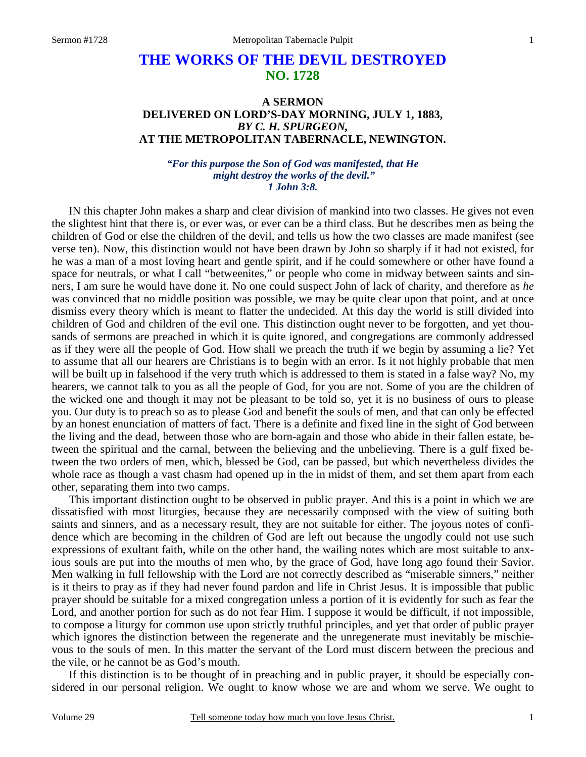# **THE WORKS OF THE DEVIL DESTROYED NO. 1728**

## **A SERMON DELIVERED ON LORD'S-DAY MORNING, JULY 1, 1883,**  *BY C. H. SPURGEON,*  **AT THE METROPOLITAN TABERNACLE, NEWINGTON.**

### *"For this purpose the Son of God was manifested, that He might destroy the works of the devil." 1 John 3:8.*

IN this chapter John makes a sharp and clear division of mankind into two classes. He gives not even the slightest hint that there is, or ever was, or ever can be a third class. But he describes men as being the children of God or else the children of the devil, and tells us how the two classes are made manifest (see verse ten). Now, this distinction would not have been drawn by John so sharply if it had not existed, for he was a man of a most loving heart and gentle spirit, and if he could somewhere or other have found a space for neutrals, or what I call "betweenites," or people who come in midway between saints and sinners, I am sure he would have done it. No one could suspect John of lack of charity, and therefore as *he* was convinced that no middle position was possible, we may be quite clear upon that point, and at once dismiss every theory which is meant to flatter the undecided. At this day the world is still divided into children of God and children of the evil one. This distinction ought never to be forgotten, and yet thousands of sermons are preached in which it is quite ignored, and congregations are commonly addressed as if they were all the people of God. How shall we preach the truth if we begin by assuming a lie? Yet to assume that all our hearers are Christians is to begin with an error. Is it not highly probable that men will be built up in falsehood if the very truth which is addressed to them is stated in a false way? No, my hearers, we cannot talk to you as all the people of God, for you are not. Some of you are the children of the wicked one and though it may not be pleasant to be told so, yet it is no business of ours to please you. Our duty is to preach so as to please God and benefit the souls of men, and that can only be effected by an honest enunciation of matters of fact. There is a definite and fixed line in the sight of God between the living and the dead, between those who are born-again and those who abide in their fallen estate, between the spiritual and the carnal, between the believing and the unbelieving. There is a gulf fixed between the two orders of men, which, blessed be God, can be passed, but which nevertheless divides the whole race as though a vast chasm had opened up in the in midst of them, and set them apart from each other, separating them into two camps.

 This important distinction ought to be observed in public prayer. And this is a point in which we are dissatisfied with most liturgies, because they are necessarily composed with the view of suiting both saints and sinners, and as a necessary result, they are not suitable for either. The joyous notes of confidence which are becoming in the children of God are left out because the ungodly could not use such expressions of exultant faith, while on the other hand, the wailing notes which are most suitable to anxious souls are put into the mouths of men who, by the grace of God, have long ago found their Savior. Men walking in full fellowship with the Lord are not correctly described as "miserable sinners," neither is it theirs to pray as if they had never found pardon and life in Christ Jesus. It is impossible that public prayer should be suitable for a mixed congregation unless a portion of it is evidently for such as fear the Lord, and another portion for such as do not fear Him. I suppose it would be difficult, if not impossible, to compose a liturgy for common use upon strictly truthful principles, and yet that order of public prayer which ignores the distinction between the regenerate and the unregenerate must inevitably be mischievous to the souls of men. In this matter the servant of the Lord must discern between the precious and the vile, or he cannot be as God's mouth.

 If this distinction is to be thought of in preaching and in public prayer, it should be especially considered in our personal religion. We ought to know whose we are and whom we serve. We ought to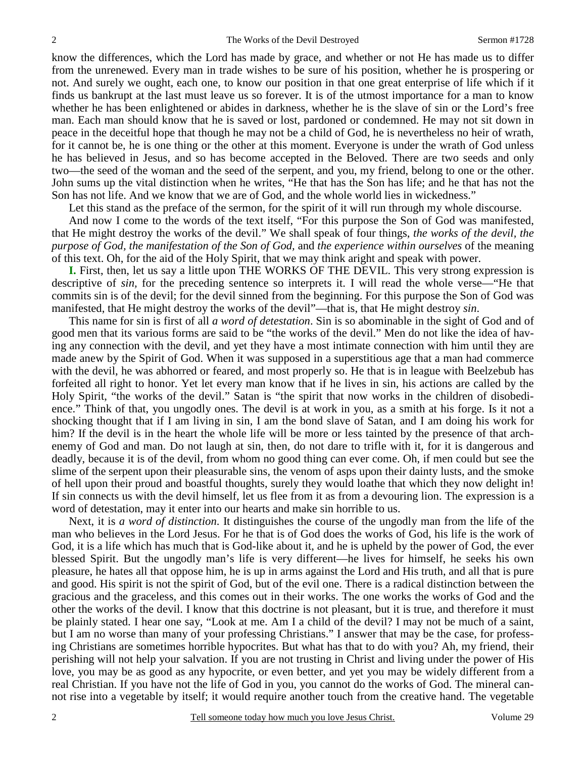know the differences, which the Lord has made by grace, and whether or not He has made us to differ from the unrenewed. Every man in trade wishes to be sure of his position, whether he is prospering or not. And surely we ought, each one, to know our position in that one great enterprise of life which if it finds us bankrupt at the last must leave us so forever. It is of the utmost importance for a man to know whether he has been enlightened or abides in darkness, whether he is the slave of sin or the Lord's free man. Each man should know that he is saved or lost, pardoned or condemned. He may not sit down in peace in the deceitful hope that though he may not be a child of God, he is nevertheless no heir of wrath, for it cannot be, he is one thing or the other at this moment. Everyone is under the wrath of God unless he has believed in Jesus, and so has become accepted in the Beloved. There are two seeds and only two—the seed of the woman and the seed of the serpent, and you, my friend, belong to one or the other. John sums up the vital distinction when he writes, "He that has the Son has life; and he that has not the Son has not life. And we know that we are of God, and the whole world lies in wickedness."

Let this stand as the preface of the sermon, for the spirit of it will run through my whole discourse.

 And now I come to the words of the text itself, "For this purpose the Son of God was manifested, that He might destroy the works of the devil." We shall speak of four things, *the works of the devil, the purpose of God, the manifestation of the Son of God,* and *the experience within ourselves* of the meaning of this text. Oh, for the aid of the Holy Spirit, that we may think aright and speak with power.

**I.** First, then, let us say a little upon THE WORKS OF THE DEVIL. This very strong expression is descriptive of *sin,* for the preceding sentence so interprets it. I will read the whole verse—"He that commits sin is of the devil; for the devil sinned from the beginning. For this purpose the Son of God was manifested, that He might destroy the works of the devil"—that is, that He might destroy *sin*.

 This name for sin is first of all *a word of detestation*. Sin is so abominable in the sight of God and of good men that its various forms are said to be "the works of the devil." Men do not like the idea of having any connection with the devil, and yet they have a most intimate connection with him until they are made anew by the Spirit of God. When it was supposed in a superstitious age that a man had commerce with the devil, he was abhorred or feared, and most properly so. He that is in league with Beelzebub has forfeited all right to honor. Yet let every man know that if he lives in sin, his actions are called by the Holy Spirit, "the works of the devil." Satan is "the spirit that now works in the children of disobedience." Think of that, you ungodly ones. The devil is at work in you, as a smith at his forge. Is it not a shocking thought that if I am living in sin, I am the bond slave of Satan, and I am doing his work for him? If the devil is in the heart the whole life will be more or less tainted by the presence of that archenemy of God and man. Do not laugh at sin, then, do not dare to trifle with it, for it is dangerous and deadly, because it is of the devil, from whom no good thing can ever come. Oh, if men could but see the slime of the serpent upon their pleasurable sins, the venom of asps upon their dainty lusts, and the smoke of hell upon their proud and boastful thoughts, surely they would loathe that which they now delight in! If sin connects us with the devil himself, let us flee from it as from a devouring lion. The expression is a word of detestation, may it enter into our hearts and make sin horrible to us.

 Next, it is *a word of distinction*. It distinguishes the course of the ungodly man from the life of the man who believes in the Lord Jesus. For he that is of God does the works of God, his life is the work of God, it is a life which has much that is God-like about it, and he is upheld by the power of God, the ever blessed Spirit. But the ungodly man's life is very different—he lives for himself, he seeks his own pleasure, he hates all that oppose him, he is up in arms against the Lord and His truth, and all that is pure and good. His spirit is not the spirit of God, but of the evil one. There is a radical distinction between the gracious and the graceless, and this comes out in their works. The one works the works of God and the other the works of the devil. I know that this doctrine is not pleasant, but it is true, and therefore it must be plainly stated. I hear one say, "Look at me. Am I a child of the devil? I may not be much of a saint, but I am no worse than many of your professing Christians." I answer that may be the case, for professing Christians are sometimes horrible hypocrites. But what has that to do with you? Ah, my friend, their perishing will not help your salvation. If you are not trusting in Christ and living under the power of His love, you may be as good as any hypocrite, or even better, and yet you may be widely different from a real Christian. If you have not the life of God in you, you cannot do the works of God. The mineral cannot rise into a vegetable by itself; it would require another touch from the creative hand. The vegetable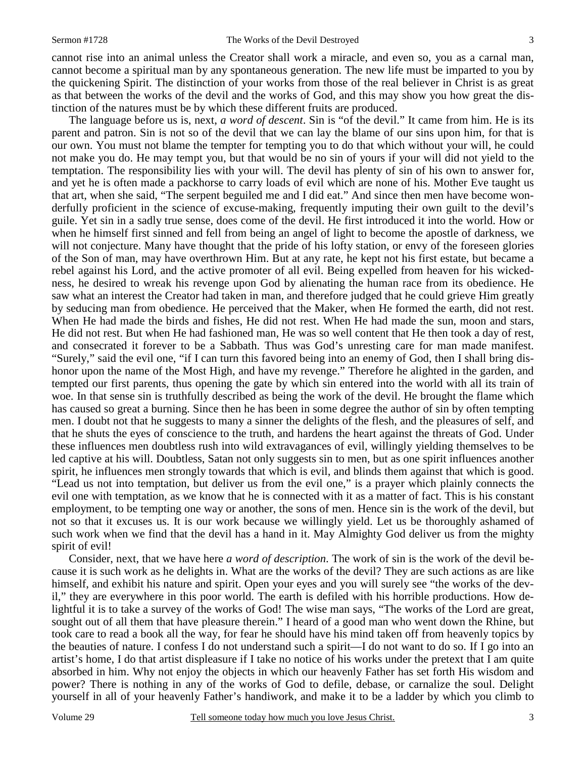cannot rise into an animal unless the Creator shall work a miracle, and even so, you as a carnal man, cannot become a spiritual man by any spontaneous generation. The new life must be imparted to you by the quickening Spirit. The distinction of your works from those of the real believer in Christ is as great as that between the works of the devil and the works of God, and this may show you how great the distinction of the natures must be by which these different fruits are produced.

 The language before us is, next, *a word of descent*. Sin is "of the devil." It came from him. He is its parent and patron. Sin is not so of the devil that we can lay the blame of our sins upon him, for that is our own. You must not blame the tempter for tempting you to do that which without your will, he could not make you do. He may tempt you, but that would be no sin of yours if your will did not yield to the temptation. The responsibility lies with your will. The devil has plenty of sin of his own to answer for, and yet he is often made a packhorse to carry loads of evil which are none of his. Mother Eve taught us that art, when she said, "The serpent beguiled me and I did eat." And since then men have become wonderfully proficient in the science of excuse-making, frequently imputing their own guilt to the devil's guile. Yet sin in a sadly true sense, does come of the devil. He first introduced it into the world. How or when he himself first sinned and fell from being an angel of light to become the apostle of darkness, we will not conjecture. Many have thought that the pride of his lofty station, or envy of the foreseen glories of the Son of man, may have overthrown Him. But at any rate, he kept not his first estate, but became a rebel against his Lord, and the active promoter of all evil. Being expelled from heaven for his wickedness, he desired to wreak his revenge upon God by alienating the human race from its obedience. He saw what an interest the Creator had taken in man, and therefore judged that he could grieve Him greatly by seducing man from obedience. He perceived that the Maker, when He formed the earth, did not rest. When He had made the birds and fishes, He did not rest. When He had made the sun, moon and stars, He did not rest. But when He had fashioned man, He was so well content that He then took a day of rest, and consecrated it forever to be a Sabbath. Thus was God's unresting care for man made manifest. "Surely," said the evil one, "if I can turn this favored being into an enemy of God, then I shall bring dishonor upon the name of the Most High, and have my revenge." Therefore he alighted in the garden, and tempted our first parents, thus opening the gate by which sin entered into the world with all its train of woe. In that sense sin is truthfully described as being the work of the devil. He brought the flame which has caused so great a burning. Since then he has been in some degree the author of sin by often tempting men. I doubt not that he suggests to many a sinner the delights of the flesh, and the pleasures of self, and that he shuts the eyes of conscience to the truth, and hardens the heart against the threats of God. Under these influences men doubtless rush into wild extravagances of evil, willingly yielding themselves to be led captive at his will. Doubtless, Satan not only suggests sin to men, but as one spirit influences another spirit, he influences men strongly towards that which is evil, and blinds them against that which is good. "Lead us not into temptation, but deliver us from the evil one," is a prayer which plainly connects the evil one with temptation, as we know that he is connected with it as a matter of fact. This is his constant employment, to be tempting one way or another, the sons of men. Hence sin is the work of the devil, but not so that it excuses us. It is our work because we willingly yield. Let us be thoroughly ashamed of such work when we find that the devil has a hand in it. May Almighty God deliver us from the mighty spirit of evil!

 Consider, next, that we have here *a word of description*. The work of sin is the work of the devil because it is such work as he delights in. What are the works of the devil? They are such actions as are like himself, and exhibit his nature and spirit. Open your eyes and you will surely see "the works of the devil," they are everywhere in this poor world. The earth is defiled with his horrible productions. How delightful it is to take a survey of the works of God! The wise man says, "The works of the Lord are great, sought out of all them that have pleasure therein." I heard of a good man who went down the Rhine, but took care to read a book all the way, for fear he should have his mind taken off from heavenly topics by the beauties of nature. I confess I do not understand such a spirit—I do not want to do so. If I go into an artist's home, I do that artist displeasure if I take no notice of his works under the pretext that I am quite absorbed in him. Why not enjoy the objects in which our heavenly Father has set forth His wisdom and power? There is nothing in any of the works of God to defile, debase, or carnalize the soul. Delight yourself in all of your heavenly Father's handiwork, and make it to be a ladder by which you climb to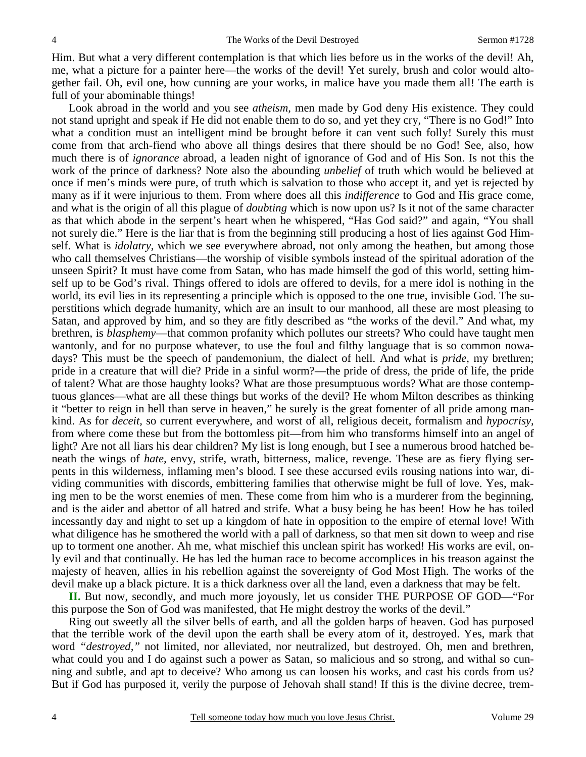Him. But what a very different contemplation is that which lies before us in the works of the devil! Ah, me, what a picture for a painter here—the works of the devil! Yet surely, brush and color would altogether fail. Oh, evil one, how cunning are your works, in malice have you made them all! The earth is full of your abominable things!

 Look abroad in the world and you see *atheism,* men made by God deny His existence. They could not stand upright and speak if He did not enable them to do so, and yet they cry, "There is no God!" Into what a condition must an intelligent mind be brought before it can vent such folly! Surely this must come from that arch-fiend who above all things desires that there should be no God! See, also, how much there is of *ignorance* abroad, a leaden night of ignorance of God and of His Son. Is not this the work of the prince of darkness? Note also the abounding *unbelief* of truth which would be believed at once if men's minds were pure, of truth which is salvation to those who accept it, and yet is rejected by many as if it were injurious to them. From where does all this *indifference* to God and His grace come, and what is the origin of all this plague of *doubting* which is now upon us? Is it not of the same character as that which abode in the serpent's heart when he whispered, "Has God said?" and again, "You shall not surely die." Here is the liar that is from the beginning still producing a host of lies against God Himself. What is *idolatry,* which we see everywhere abroad, not only among the heathen, but among those who call themselves Christians—the worship of visible symbols instead of the spiritual adoration of the unseen Spirit? It must have come from Satan, who has made himself the god of this world, setting himself up to be God's rival. Things offered to idols are offered to devils, for a mere idol is nothing in the world, its evil lies in its representing a principle which is opposed to the one true, invisible God. The superstitions which degrade humanity, which are an insult to our manhood, all these are most pleasing to Satan, and approved by him, and so they are fitly described as "the works of the devil." And what, my brethren, is *blasphemy*—that common profanity which pollutes our streets? Who could have taught men wantonly, and for no purpose whatever, to use the foul and filthy language that is so common nowadays? This must be the speech of pandemonium, the dialect of hell. And what is *pride,* my brethren; pride in a creature that will die? Pride in a sinful worm?—the pride of dress, the pride of life, the pride of talent? What are those haughty looks? What are those presumptuous words? What are those contemptuous glances—what are all these things but works of the devil? He whom Milton describes as thinking it "better to reign in hell than serve in heaven," he surely is the great fomenter of all pride among mankind. As for *deceit,* so current everywhere, and worst of all, religious deceit, formalism and *hypocrisy,*  from where come these but from the bottomless pit—from him who transforms himself into an angel of light? Are not all liars his dear children? My list is long enough, but I see a numerous brood hatched beneath the wings of *hate,* envy, strife, wrath, bitterness, malice, revenge. These are as fiery flying serpents in this wilderness, inflaming men's blood. I see these accursed evils rousing nations into war, dividing communities with discords, embittering families that otherwise might be full of love. Yes, making men to be the worst enemies of men. These come from him who is a murderer from the beginning, and is the aider and abettor of all hatred and strife. What a busy being he has been! How he has toiled incessantly day and night to set up a kingdom of hate in opposition to the empire of eternal love! With what diligence has he smothered the world with a pall of darkness, so that men sit down to weep and rise up to torment one another. Ah me, what mischief this unclean spirit has worked! His works are evil, only evil and that continually. He has led the human race to become accomplices in his treason against the majesty of heaven, allies in his rebellion against the sovereignty of God Most High. The works of the devil make up a black picture. It is a thick darkness over all the land, even a darkness that may be felt.

**II.** But now, secondly, and much more joyously, let us consider THE PURPOSE OF GOD—"For this purpose the Son of God was manifested, that He might destroy the works of the devil."

 Ring out sweetly all the silver bells of earth, and all the golden harps of heaven. God has purposed that the terrible work of the devil upon the earth shall be every atom of it, destroyed. Yes, mark that word *"destroyed,"* not limited, nor alleviated, nor neutralized, but destroyed. Oh, men and brethren, what could you and I do against such a power as Satan, so malicious and so strong, and withal so cunning and subtle, and apt to deceive? Who among us can loosen his works, and cast his cords from us? But if God has purposed it, verily the purpose of Jehovah shall stand! If this is the divine decree, trem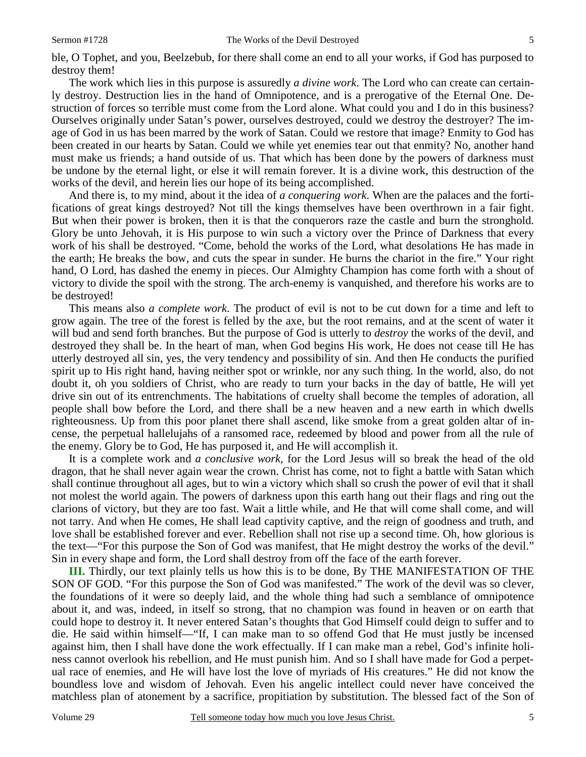ble, O Tophet, and you, Beelzebub, for there shall come an end to all your works, if God has purposed to destroy them!

 The work which lies in this purpose is assuredly *a divine work*. The Lord who can create can certainly destroy. Destruction lies in the hand of Omnipotence, and is a prerogative of the Eternal One. Destruction of forces so terrible must come from the Lord alone. What could you and I do in this business? Ourselves originally under Satan's power, ourselves destroyed, could we destroy the destroyer? The image of God in us has been marred by the work of Satan. Could we restore that image? Enmity to God has been created in our hearts by Satan. Could we while yet enemies tear out that enmity? No, another hand must make us friends; a hand outside of us. That which has been done by the powers of darkness must be undone by the eternal light, or else it will remain forever. It is a divine work, this destruction of the works of the devil, and herein lies our hope of its being accomplished.

 And there is, to my mind, about it the idea of *a conquering work*. When are the palaces and the fortifications of great kings destroyed? Not till the kings themselves have been overthrown in a fair fight. But when their power is broken, then it is that the conquerors raze the castle and burn the stronghold. Glory be unto Jehovah, it is His purpose to win such a victory over the Prince of Darkness that every work of his shall be destroyed. "Come, behold the works of the Lord, what desolations He has made in the earth; He breaks the bow, and cuts the spear in sunder. He burns the chariot in the fire." Your right hand, O Lord, has dashed the enemy in pieces. Our Almighty Champion has come forth with a shout of victory to divide the spoil with the strong. The arch-enemy is vanquished, and therefore his works are to be destroyed!

 This means also *a complete work*. The product of evil is not to be cut down for a time and left to grow again. The tree of the forest is felled by the axe, but the root remains, and at the scent of water it will bud and send forth branches. But the purpose of God is utterly to *destroy* the works of the devil, and destroyed they shall be. In the heart of man, when God begins His work, He does not cease till He has utterly destroyed all sin, yes, the very tendency and possibility of sin. And then He conducts the purified spirit up to His right hand, having neither spot or wrinkle, nor any such thing. In the world, also, do not doubt it, oh you soldiers of Christ, who are ready to turn your backs in the day of battle, He will yet drive sin out of its entrenchments. The habitations of cruelty shall become the temples of adoration, all people shall bow before the Lord, and there shall be a new heaven and a new earth in which dwells righteousness. Up from this poor planet there shall ascend, like smoke from a great golden altar of incense, the perpetual hallelujahs of a ransomed race, redeemed by blood and power from all the rule of the enemy. Glory be to God, He has purposed it, and He will accomplish it.

 It is a complete work and *a conclusive work,* for the Lord Jesus will so break the head of the old dragon, that he shall never again wear the crown. Christ has come, not to fight a battle with Satan which shall continue throughout all ages, but to win a victory which shall so crush the power of evil that it shall not molest the world again. The powers of darkness upon this earth hang out their flags and ring out the clarions of victory, but they are too fast. Wait a little while, and He that will come shall come, and will not tarry. And when He comes, He shall lead captivity captive, and the reign of goodness and truth, and love shall be established forever and ever. Rebellion shall not rise up a second time. Oh, how glorious is the text—"For this purpose the Son of God was manifest, that He might destroy the works of the devil." Sin in every shape and form, the Lord shall destroy from off the face of the earth forever.

**III.** Thirdly, our text plainly tells us how this is to be done, By THE MANIFESTATION OF THE SON OF GOD. "For this purpose the Son of God was manifested." The work of the devil was so clever, the foundations of it were so deeply laid, and the whole thing had such a semblance of omnipotence about it, and was, indeed, in itself so strong, that no champion was found in heaven or on earth that could hope to destroy it. It never entered Satan's thoughts that God Himself could deign to suffer and to die. He said within himself—"If, I can make man to so offend God that He must justly be incensed against him, then I shall have done the work effectually. If I can make man a rebel, God's infinite holiness cannot overlook his rebellion, and He must punish him. And so I shall have made for God a perpetual race of enemies, and He will have lost the love of myriads of His creatures." He did not know the boundless love and wisdom of Jehovah. Even his angelic intellect could never have conceived the matchless plan of atonement by a sacrifice, propitiation by substitution. The blessed fact of the Son of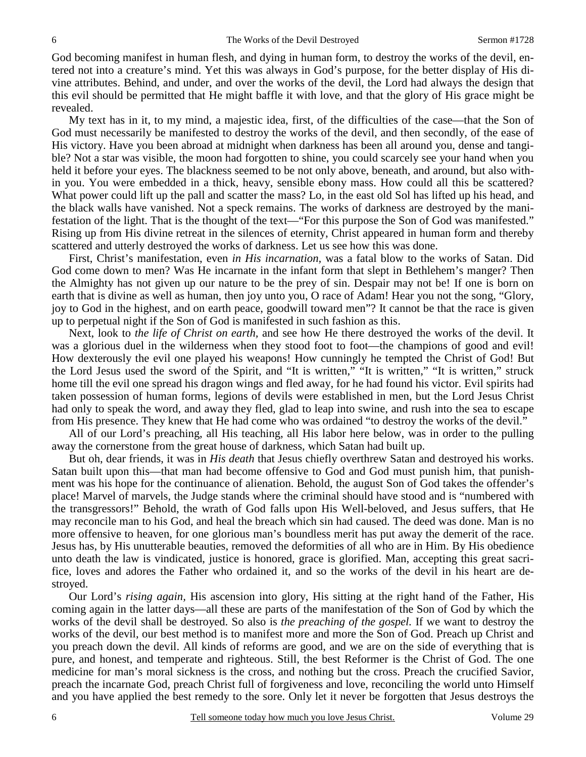God becoming manifest in human flesh, and dying in human form, to destroy the works of the devil, entered not into a creature's mind. Yet this was always in God's purpose, for the better display of His divine attributes. Behind, and under, and over the works of the devil, the Lord had always the design that this evil should be permitted that He might baffle it with love, and that the glory of His grace might be revealed.

 My text has in it, to my mind, a majestic idea, first, of the difficulties of the case—that the Son of God must necessarily be manifested to destroy the works of the devil, and then secondly, of the ease of His victory. Have you been abroad at midnight when darkness has been all around you, dense and tangible? Not a star was visible, the moon had forgotten to shine, you could scarcely see your hand when you held it before your eyes. The blackness seemed to be not only above, beneath, and around, but also within you. You were embedded in a thick, heavy, sensible ebony mass. How could all this be scattered? What power could lift up the pall and scatter the mass? Lo, in the east old Sol has lifted up his head, and the black walls have vanished. Not a speck remains. The works of darkness are destroyed by the manifestation of the light. That is the thought of the text—"For this purpose the Son of God was manifested." Rising up from His divine retreat in the silences of eternity, Christ appeared in human form and thereby scattered and utterly destroyed the works of darkness. Let us see how this was done.

 First, Christ's manifestation, even *in His incarnation,* was a fatal blow to the works of Satan. Did God come down to men? Was He incarnate in the infant form that slept in Bethlehem's manger? Then the Almighty has not given up our nature to be the prey of sin. Despair may not be! If one is born on earth that is divine as well as human, then joy unto you, O race of Adam! Hear you not the song, "Glory, joy to God in the highest, and on earth peace, goodwill toward men"? It cannot be that the race is given up to perpetual night if the Son of God is manifested in such fashion as this.

 Next, look to *the life of Christ on earth,* and see how He there destroyed the works of the devil. It was a glorious duel in the wilderness when they stood foot to foot—the champions of good and evil! How dexterously the evil one played his weapons! How cunningly he tempted the Christ of God! But the Lord Jesus used the sword of the Spirit, and "It is written," "It is written," "It is written," struck home till the evil one spread his dragon wings and fled away, for he had found his victor. Evil spirits had taken possession of human forms, legions of devils were established in men, but the Lord Jesus Christ had only to speak the word, and away they fled, glad to leap into swine, and rush into the sea to escape from His presence. They knew that He had come who was ordained "to destroy the works of the devil."

 All of our Lord's preaching, all His teaching, all His labor here below, was in order to the pulling away the cornerstone from the great house of darkness, which Satan had built up.

 But oh, dear friends, it was in *His death* that Jesus chiefly overthrew Satan and destroyed his works. Satan built upon this—that man had become offensive to God and God must punish him, that punishment was his hope for the continuance of alienation. Behold, the august Son of God takes the offender's place! Marvel of marvels, the Judge stands where the criminal should have stood and is "numbered with the transgressors!" Behold, the wrath of God falls upon His Well-beloved, and Jesus suffers, that He may reconcile man to his God, and heal the breach which sin had caused. The deed was done. Man is no more offensive to heaven, for one glorious man's boundless merit has put away the demerit of the race. Jesus has, by His unutterable beauties, removed the deformities of all who are in Him. By His obedience unto death the law is vindicated, justice is honored, grace is glorified. Man, accepting this great sacrifice, loves and adores the Father who ordained it, and so the works of the devil in his heart are destroyed.

 Our Lord's *rising again,* His ascension into glory, His sitting at the right hand of the Father, His coming again in the latter days—all these are parts of the manifestation of the Son of God by which the works of the devil shall be destroyed. So also is *the preaching of the gospel.* If we want to destroy the works of the devil, our best method is to manifest more and more the Son of God. Preach up Christ and you preach down the devil. All kinds of reforms are good, and we are on the side of everything that is pure, and honest, and temperate and righteous. Still, the best Reformer is the Christ of God. The one medicine for man's moral sickness is the cross, and nothing but the cross. Preach the crucified Savior, preach the incarnate God, preach Christ full of forgiveness and love, reconciling the world unto Himself and you have applied the best remedy to the sore. Only let it never be forgotten that Jesus destroys the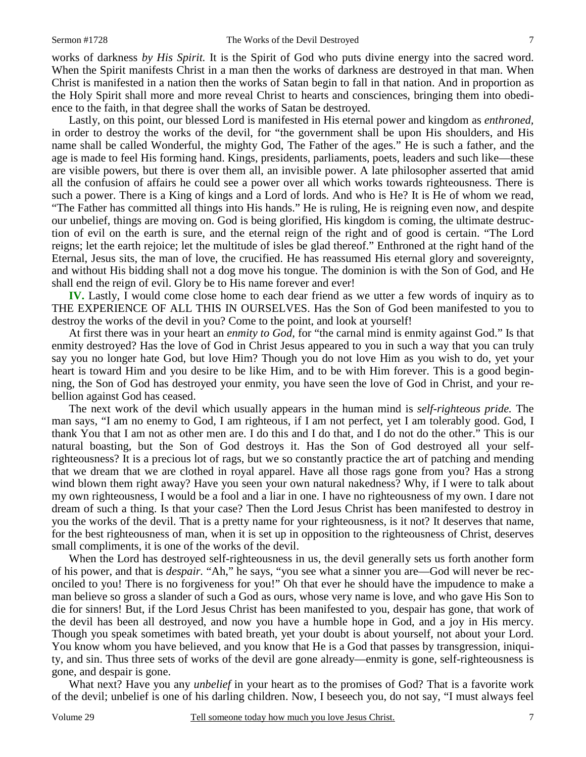works of darkness *by His Spirit.* It is the Spirit of God who puts divine energy into the sacred word. When the Spirit manifests Christ in a man then the works of darkness are destroyed in that man. When Christ is manifested in a nation then the works of Satan begin to fall in that nation. And in proportion as the Holy Spirit shall more and more reveal Christ to hearts and consciences, bringing them into obedience to the faith, in that degree shall the works of Satan be destroyed.

 Lastly, on this point, our blessed Lord is manifested in His eternal power and kingdom as *enthroned,* in order to destroy the works of the devil, for "the government shall be upon His shoulders, and His name shall be called Wonderful, the mighty God, The Father of the ages." He is such a father, and the age is made to feel His forming hand. Kings, presidents, parliaments, poets, leaders and such like—these are visible powers, but there is over them all, an invisible power. A late philosopher asserted that amid all the confusion of affairs he could see a power over all which works towards righteousness. There is such a power. There is a King of kings and a Lord of lords. And who is He? It is He of whom we read, "The Father has committed all things into His hands." He is ruling, He is reigning even now, and despite our unbelief, things are moving on. God is being glorified, His kingdom is coming, the ultimate destruction of evil on the earth is sure, and the eternal reign of the right and of good is certain. "The Lord reigns; let the earth rejoice; let the multitude of isles be glad thereof." Enthroned at the right hand of the Eternal, Jesus sits, the man of love, the crucified. He has reassumed His eternal glory and sovereignty, and without His bidding shall not a dog move his tongue. The dominion is with the Son of God, and He shall end the reign of evil. Glory be to His name forever and ever!

**IV.** Lastly, I would come close home to each dear friend as we utter a few words of inquiry as to THE EXPERIENCE OF ALL THIS IN OURSELVES. Has the Son of God been manifested to you to destroy the works of the devil in you? Come to the point, and look at yourself!

 At first there was in your heart an *enmity to God,* for "the carnal mind is enmity against God." Is that enmity destroyed? Has the love of God in Christ Jesus appeared to you in such a way that you can truly say you no longer hate God, but love Him? Though you do not love Him as you wish to do, yet your heart is toward Him and you desire to be like Him, and to be with Him forever. This is a good beginning, the Son of God has destroyed your enmity, you have seen the love of God in Christ, and your rebellion against God has ceased.

 The next work of the devil which usually appears in the human mind is *self-righteous pride.* The man says, "I am no enemy to God, I am righteous, if I am not perfect, yet I am tolerably good. God, I thank You that I am not as other men are. I do this and I do that, and I do not do the other." This is our natural boasting, but the Son of God destroys it. Has the Son of God destroyed all your selfrighteousness? It is a precious lot of rags, but we so constantly practice the art of patching and mending that we dream that we are clothed in royal apparel. Have all those rags gone from you? Has a strong wind blown them right away? Have you seen your own natural nakedness? Why, if I were to talk about my own righteousness, I would be a fool and a liar in one. I have no righteousness of my own. I dare not dream of such a thing. Is that your case? Then the Lord Jesus Christ has been manifested to destroy in you the works of the devil. That is a pretty name for your righteousness, is it not? It deserves that name, for the best righteousness of man, when it is set up in opposition to the righteousness of Christ, deserves small compliments, it is one of the works of the devil.

 When the Lord has destroyed self-righteousness in us, the devil generally sets us forth another form of his power, and that is *despair.* "Ah," he says, "you see what a sinner you are—God will never be reconciled to you! There is no forgiveness for you!" Oh that ever he should have the impudence to make a man believe so gross a slander of such a God as ours, whose very name is love, and who gave His Son to die for sinners! But, if the Lord Jesus Christ has been manifested to you, despair has gone, that work of the devil has been all destroyed, and now you have a humble hope in God, and a joy in His mercy. Though you speak sometimes with bated breath, yet your doubt is about yourself, not about your Lord. You know whom you have believed, and you know that He is a God that passes by transgression, iniquity, and sin. Thus three sets of works of the devil are gone already—enmity is gone, self-righteousness is gone, and despair is gone.

 What next? Have you any *unbelief* in your heart as to the promises of God? That is a favorite work of the devil; unbelief is one of his darling children. Now, I beseech you, do not say, "I must always feel